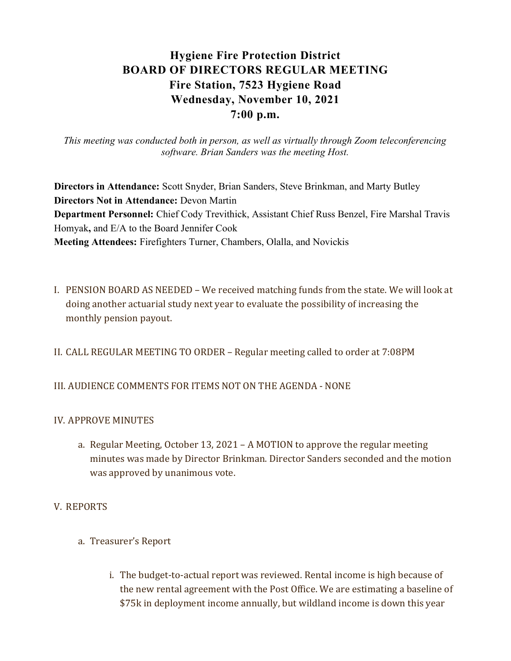# Hygiene Fire Protection District BOARD OF DIRECTORS REGULAR MEETING Fire Station, 7523 Hygiene Road Wednesday, November 10, 2021 7:00 p.m.

This meeting was conducted both in person, as well as virtually through Zoom teleconferencing software. Brian Sanders was the meeting Host.

Directors in Attendance: Scott Snyder, Brian Sanders, Steve Brinkman, and Marty Butley Directors Not in Attendance: Devon Martin Department Personnel: Chief Cody Trevithick, Assistant Chief Russ Benzel, Fire Marshal Travis Homyak, and E/A to the Board Jennifer Cook Meeting Attendees: Firefighters Turner, Chambers, Olalla, and Novickis

- I. PENSION BOARD AS NEEDED We received matching funds from the state. We will look at doing another actuarial study next year to evaluate the possibility of increasing the monthly pension payout.
- II. CALL REGULAR MEETING TO ORDER Regular meeting called to order at 7:08PM

# III. AUDIENCE COMMENTS FOR ITEMS NOT ON THE AGENDA - NONE

# IV. APPROVE MINUTES

a. Regular Meeting, October 13, 2021 – A MOTION to approve the regular meeting minutes was made by Director Brinkman. Director Sanders seconded and the motion was approved by unanimous vote.

# V. REPORTS

- a. Treasurer's Report
	- i. The budget-to-actual report was reviewed. Rental income is high because of the new rental agreement with the Post Office. We are estimating a baseline of \$75k in deployment income annually, but wildland income is down this year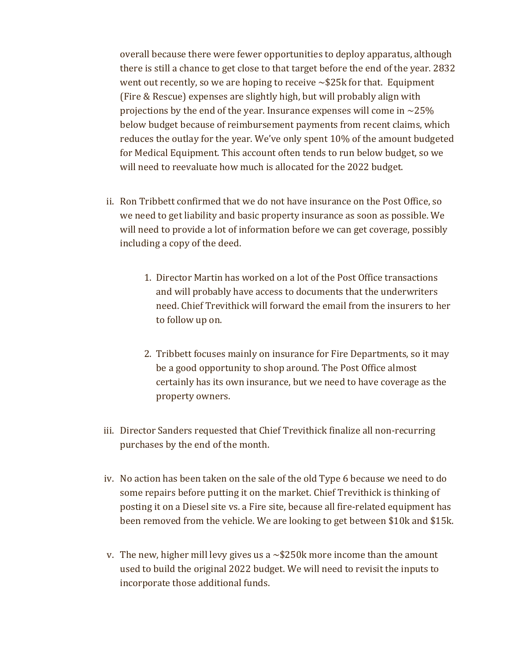overall because there were fewer opportunities to deploy apparatus, although there is still a chance to get close to that target before the end of the year. 2832 went out recently, so we are hoping to receive  $\sim$ \$25k for that. Equipment (Fire & Rescue) expenses are slightly high, but will probably align with projections by the end of the year. Insurance expenses will come in  $\sim$ 25% below budget because of reimbursement payments from recent claims, which reduces the outlay for the year. We've only spent 10% of the amount budgeted for Medical Equipment. This account often tends to run below budget, so we will need to reevaluate how much is allocated for the 2022 budget.

- ii. Ron Tribbett confirmed that we do not have insurance on the Post Office, so we need to get liability and basic property insurance as soon as possible. We will need to provide a lot of information before we can get coverage, possibly including a copy of the deed.
	- 1. Director Martin has worked on a lot of the Post Office transactions and will probably have access to documents that the underwriters need. Chief Trevithick will forward the email from the insurers to her to follow up on.
	- 2. Tribbett focuses mainly on insurance for Fire Departments, so it may be a good opportunity to shop around. The Post Office almost certainly has its own insurance, but we need to have coverage as the property owners.
- iii. Director Sanders requested that Chief Trevithick finalize all non-recurring purchases by the end of the month.
- iv. No action has been taken on the sale of the old Type 6 because we need to do some repairs before putting it on the market. Chief Trevithick is thinking of posting it on a Diesel site vs. a Fire site, because all fire-related equipment has been removed from the vehicle. We are looking to get between \$10k and \$15k.
- v. The new, higher mill levy gives us a  $\sim$  \$250k more income than the amount used to build the original 2022 budget. We will need to revisit the inputs to incorporate those additional funds.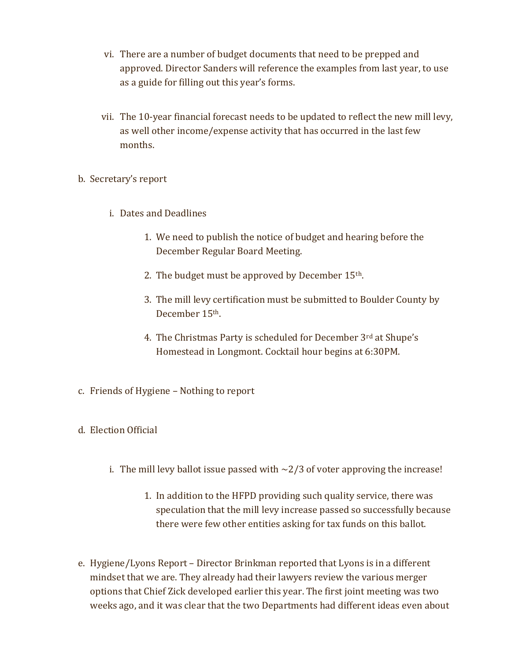- vi. There are a number of budget documents that need to be prepped and approved. Director Sanders will reference the examples from last year, to use as a guide for filling out this year's forms.
- vii. The 10-year financial forecast needs to be updated to reflect the new mill levy, as well other income/expense activity that has occurred in the last few months.
- b. Secretary's report
	- i. Dates and Deadlines
		- 1. We need to publish the notice of budget and hearing before the December Regular Board Meeting.
		- 2. The budget must be approved by December 15th.
		- 3. The mill levy certification must be submitted to Boulder County by December 15th.
		- 4. The Christmas Party is scheduled for December 3rd at Shupe's Homestead in Longmont. Cocktail hour begins at 6:30PM.
- c. Friends of Hygiene Nothing to report
- d. Election Official
	- i. The mill levy ballot issue passed with  $\sim$  2/3 of voter approving the increase!
		- 1. In addition to the HFPD providing such quality service, there was speculation that the mill levy increase passed so successfully because there were few other entities asking for tax funds on this ballot.
- e. Hygiene/Lyons Report Director Brinkman reported that Lyons is in a different mindset that we are. They already had their lawyers review the various merger options that Chief Zick developed earlier this year. The first joint meeting was two weeks ago, and it was clear that the two Departments had different ideas even about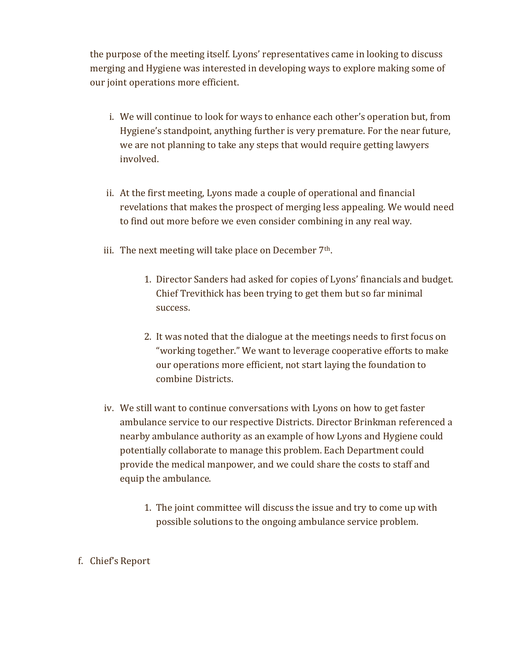the purpose of the meeting itself. Lyons' representatives came in looking to discuss merging and Hygiene was interested in developing ways to explore making some of our joint operations more efficient.

- i. We will continue to look for ways to enhance each other's operation but, from Hygiene's standpoint, anything further is very premature. For the near future, we are not planning to take any steps that would require getting lawyers involved.
- ii. At the first meeting, Lyons made a couple of operational and financial revelations that makes the prospect of merging less appealing. We would need to find out more before we even consider combining in any real way.
- iii. The next meeting will take place on December  $7<sup>th</sup>$ .
	- 1. Director Sanders had asked for copies of Lyons' financials and budget. Chief Trevithick has been trying to get them but so far minimal success.
	- 2. It was noted that the dialogue at the meetings needs to first focus on "working together." We want to leverage cooperative efforts to make our operations more efficient, not start laying the foundation to combine Districts.
- iv. We still want to continue conversations with Lyons on how to get faster ambulance service to our respective Districts. Director Brinkman referenced a nearby ambulance authority as an example of how Lyons and Hygiene could potentially collaborate to manage this problem. Each Department could provide the medical manpower, and we could share the costs to staff and equip the ambulance.
	- 1. The joint committee will discuss the issue and try to come up with possible solutions to the ongoing ambulance service problem.
- f. Chief's Report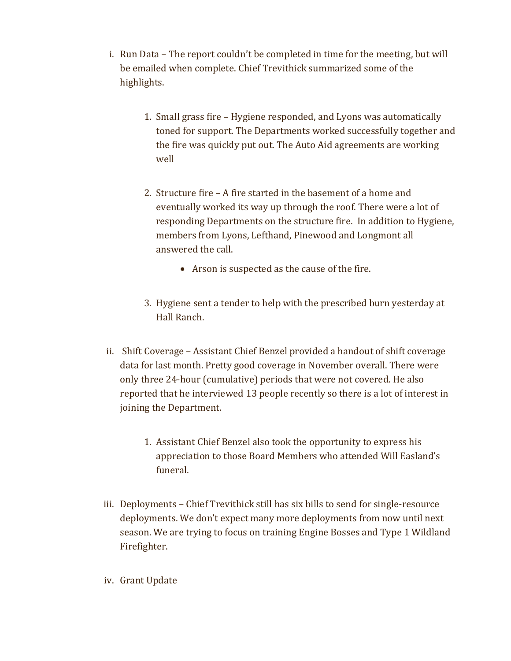- i. Run Data The report couldn't be completed in time for the meeting, but will be emailed when complete. Chief Trevithick summarized some of the highlights.
	- 1. Small grass fire Hygiene responded, and Lyons was automatically toned for support. The Departments worked successfully together and the fire was quickly put out. The Auto Aid agreements are working well
	- 2. Structure fire A fire started in the basement of a home and eventually worked its way up through the roof. There were a lot of responding Departments on the structure fire. In addition to Hygiene, members from Lyons, Lefthand, Pinewood and Longmont all answered the call.
		- Arson is suspected as the cause of the fire.
	- 3. Hygiene sent a tender to help with the prescribed burn yesterday at Hall Ranch.
- ii. Shift Coverage Assistant Chief Benzel provided a handout of shift coverage data for last month. Pretty good coverage in November overall. There were only three 24-hour (cumulative) periods that were not covered. He also reported that he interviewed 13 people recently so there is a lot of interest in joining the Department.
	- 1. Assistant Chief Benzel also took the opportunity to express his appreciation to those Board Members who attended Will Easland's funeral.
- iii. Deployments Chief Trevithick still has six bills to send for single-resource deployments. We don't expect many more deployments from now until next season. We are trying to focus on training Engine Bosses and Type 1 Wildland Firefighter.
- iv. Grant Update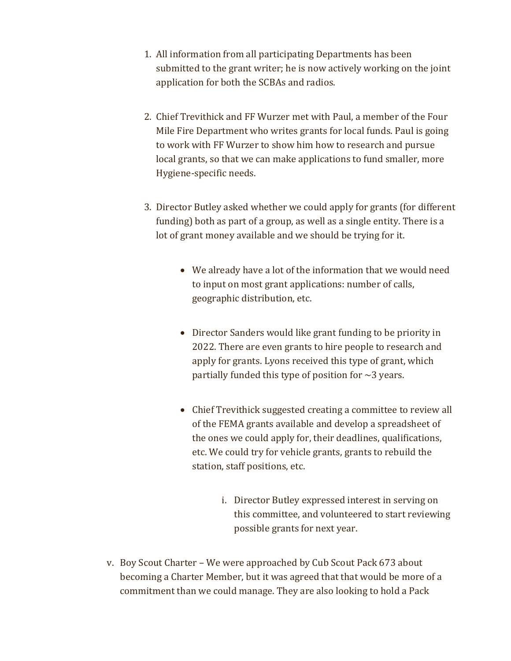- 1. All information from all participating Departments has been submitted to the grant writer; he is now actively working on the joint application for both the SCBAs and radios.
- 2. Chief Trevithick and FF Wurzer met with Paul, a member of the Four Mile Fire Department who writes grants for local funds. Paul is going to work with FF Wurzer to show him how to research and pursue local grants, so that we can make applications to fund smaller, more Hygiene-specific needs.
- 3. Director Butley asked whether we could apply for grants (for different funding) both as part of a group, as well as a single entity. There is a lot of grant money available and we should be trying for it.
	- We already have a lot of the information that we would need to input on most grant applications: number of calls, geographic distribution, etc.
	- Director Sanders would like grant funding to be priority in 2022. There are even grants to hire people to research and apply for grants. Lyons received this type of grant, which partially funded this type of position for  $\sim$ 3 years.
	- Chief Trevithick suggested creating a committee to review all of the FEMA grants available and develop a spreadsheet of the ones we could apply for, their deadlines, qualifications, etc. We could try for vehicle grants, grants to rebuild the station, staff positions, etc.
		- i. Director Butley expressed interest in serving on this committee, and volunteered to start reviewing possible grants for next year.
- v. Boy Scout Charter We were approached by Cub Scout Pack 673 about becoming a Charter Member, but it was agreed that that would be more of a commitment than we could manage. They are also looking to hold a Pack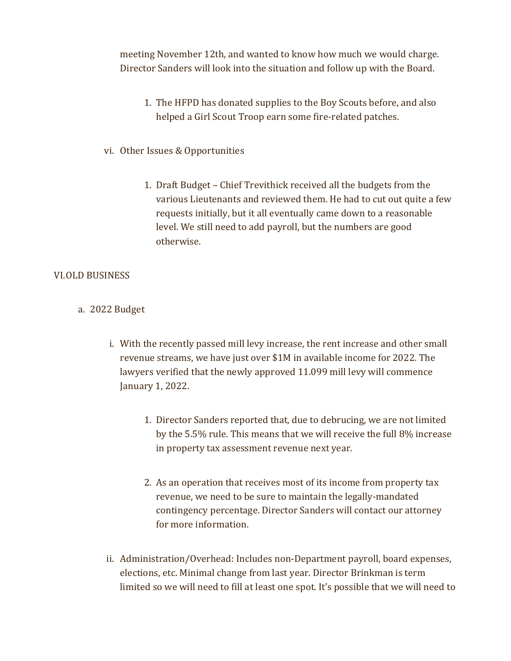meeting November 12th, and wanted to know how much we would charge. Director Sanders will look into the situation and follow up with the Board.

- 1. The HFPD has donated supplies to the Boy Scouts before, and also helped a Girl Scout Troop earn some fire-related patches.
- vi. Other Issues & Opportunities
	- 1. Draft Budget Chief Trevithick received all the budgets from the various Lieutenants and reviewed them. He had to cut out quite a few requests initially, but it all eventually came down to a reasonable level. We still need to add payroll, but the numbers are good otherwise.

#### VI.OLD BUSINESS

- a. 2022 Budget
	- i. With the recently passed mill levy increase, the rent increase and other small revenue streams, we have just over \$1M in available income for 2022. The lawyers verified that the newly approved 11.099 mill levy will commence January 1, 2022.
		- 1. Director Sanders reported that, due to debrucing, we are not limited by the 5.5% rule. This means that we will receive the full 8% increase in property tax assessment revenue next year.
		- 2. As an operation that receives most of its income from property tax revenue, we need to be sure to maintain the legally-mandated contingency percentage. Director Sanders will contact our attorney for more information.
	- ii. Administration/Overhead: Includes non-Department payroll, board expenses, elections, etc. Minimal change from last year. Director Brinkman is term limited so we will need to fill at least one spot. It's possible that we will need to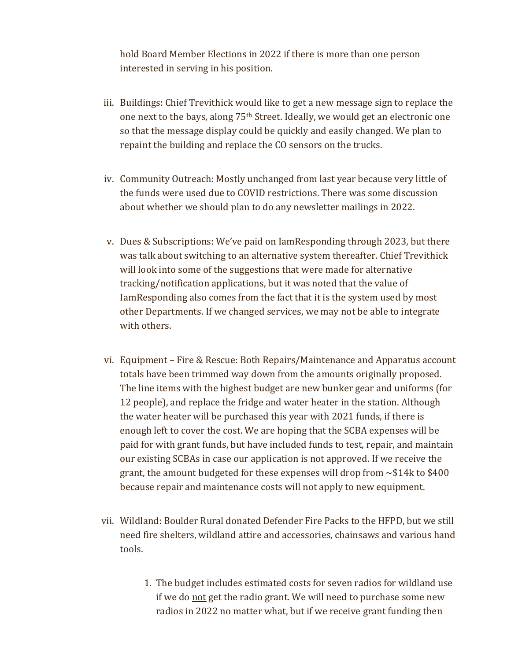hold Board Member Elections in 2022 if there is more than one person interested in serving in his position.

- iii. Buildings: Chief Trevithick would like to get a new message sign to replace the one next to the bays, along 75th Street. Ideally, we would get an electronic one so that the message display could be quickly and easily changed. We plan to repaint the building and replace the CO sensors on the trucks.
- iv. Community Outreach: Mostly unchanged from last year because very little of the funds were used due to COVID restrictions. There was some discussion about whether we should plan to do any newsletter mailings in 2022.
- v. Dues & Subscriptions: We've paid on IamResponding through 2023, but there was talk about switching to an alternative system thereafter. Chief Trevithick will look into some of the suggestions that were made for alternative tracking/notification applications, but it was noted that the value of IamResponding also comes from the fact that it is the system used by most other Departments. If we changed services, we may not be able to integrate with others.
- vi. Equipment Fire & Rescue: Both Repairs/Maintenance and Apparatus account totals have been trimmed way down from the amounts originally proposed. The line items with the highest budget are new bunker gear and uniforms (for 12 people), and replace the fridge and water heater in the station. Although the water heater will be purchased this year with 2021 funds, if there is enough left to cover the cost. We are hoping that the SCBA expenses will be paid for with grant funds, but have included funds to test, repair, and maintain our existing SCBAs in case our application is not approved. If we receive the grant, the amount budgeted for these expenses will drop from  $\sim $14k$  to \$400 because repair and maintenance costs will not apply to new equipment.
- vii. Wildland: Boulder Rural donated Defender Fire Packs to the HFPD, but we still need fire shelters, wildland attire and accessories, chainsaws and various hand tools.
	- 1. The budget includes estimated costs for seven radios for wildland use if we do not get the radio grant. We will need to purchase some new radios in 2022 no matter what, but if we receive grant funding then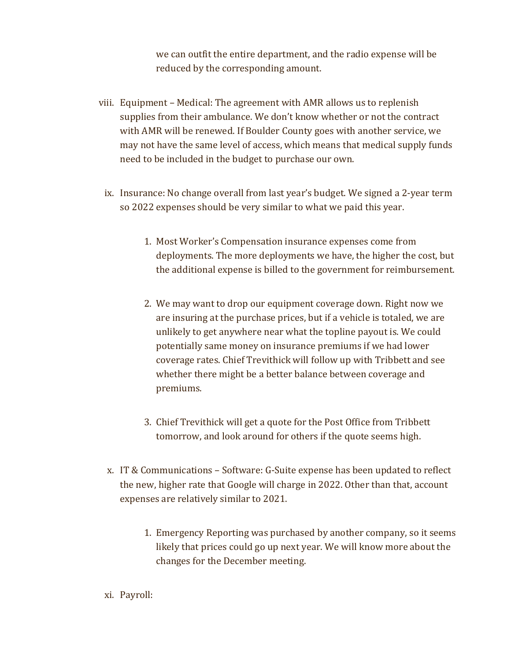we can outfit the entire department, and the radio expense will be reduced by the corresponding amount.

- viii. Equipment Medical: The agreement with AMR allows us to replenish supplies from their ambulance. We don't know whether or not the contract with AMR will be renewed. If Boulder County goes with another service, we may not have the same level of access, which means that medical supply funds need to be included in the budget to purchase our own.
- ix. Insurance: No change overall from last year's budget. We signed a 2-year term so 2022 expenses should be very similar to what we paid this year.
	- 1. Most Worker's Compensation insurance expenses come from deployments. The more deployments we have, the higher the cost, but the additional expense is billed to the government for reimbursement.
	- 2. We may want to drop our equipment coverage down. Right now we are insuring at the purchase prices, but if a vehicle is totaled, we are unlikely to get anywhere near what the topline payout is. We could potentially same money on insurance premiums if we had lower coverage rates. Chief Trevithick will follow up with Tribbett and see whether there might be a better balance between coverage and premiums.
	- 3. Chief Trevithick will get a quote for the Post Office from Tribbett tomorrow, and look around for others if the quote seems high.
- x. IT & Communications Software: G-Suite expense has been updated to reflect the new, higher rate that Google will charge in 2022. Other than that, account expenses are relatively similar to 2021.
	- 1. Emergency Reporting was purchased by another company, so it seems likely that prices could go up next year. We will know more about the changes for the December meeting.
- xi. Payroll: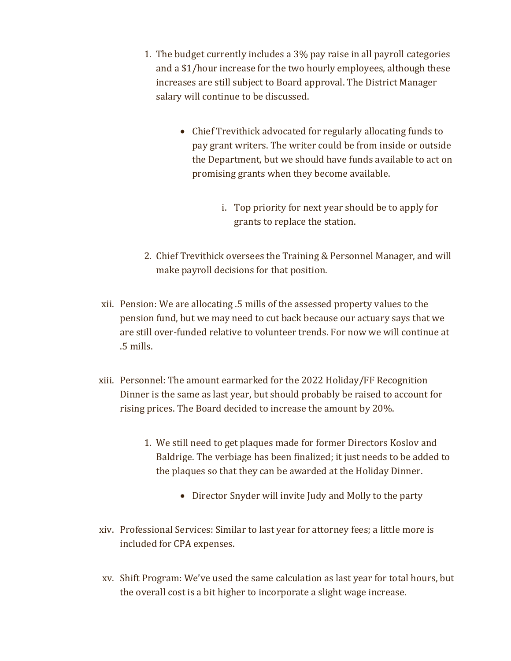- 1. The budget currently includes a 3% pay raise in all payroll categories and a \$1/hour increase for the two hourly employees, although these increases are still subject to Board approval. The District Manager salary will continue to be discussed.
	- Chief Trevithick advocated for regularly allocating funds to pay grant writers. The writer could be from inside or outside the Department, but we should have funds available to act on promising grants when they become available.
		- i. Top priority for next year should be to apply for grants to replace the station.
- 2. Chief Trevithick oversees the Training & Personnel Manager, and will make payroll decisions for that position.
- xii. Pension: We are allocating .5 mills of the assessed property values to the pension fund, but we may need to cut back because our actuary says that we are still over-funded relative to volunteer trends. For now we will continue at .5 mills.
- xiii. Personnel: The amount earmarked for the 2022 Holiday/FF Recognition Dinner is the same as last year, but should probably be raised to account for rising prices. The Board decided to increase the amount by 20%.
	- 1. We still need to get plaques made for former Directors Koslov and Baldrige. The verbiage has been finalized; it just needs to be added to the plaques so that they can be awarded at the Holiday Dinner.
		- Director Snyder will invite Judy and Molly to the party
- xiv. Professional Services: Similar to last year for attorney fees; a little more is included for CPA expenses.
- xv. Shift Program: We've used the same calculation as last year for total hours, but the overall cost is a bit higher to incorporate a slight wage increase.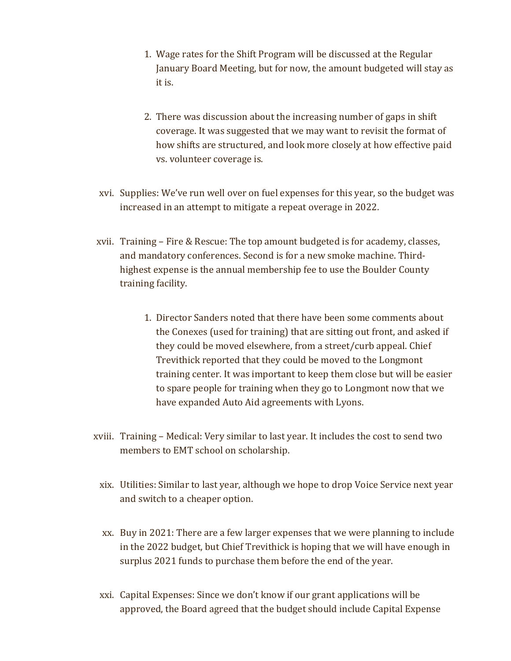- 1. Wage rates for the Shift Program will be discussed at the Regular January Board Meeting, but for now, the amount budgeted will stay as it is.
- 2. There was discussion about the increasing number of gaps in shift coverage. It was suggested that we may want to revisit the format of how shifts are structured, and look more closely at how effective paid vs. volunteer coverage is.
- xvi. Supplies: We've run well over on fuel expenses for this year, so the budget was increased in an attempt to mitigate a repeat overage in 2022.
- xvii. Training Fire & Rescue: The top amount budgeted is for academy, classes, and mandatory conferences. Second is for a new smoke machine. Thirdhighest expense is the annual membership fee to use the Boulder County training facility.
	- 1. Director Sanders noted that there have been some comments about the Conexes (used for training) that are sitting out front, and asked if they could be moved elsewhere, from a street/curb appeal. Chief Trevithick reported that they could be moved to the Longmont training center. It was important to keep them close but will be easier to spare people for training when they go to Longmont now that we have expanded Auto Aid agreements with Lyons.
- xviii. Training Medical: Very similar to last year. It includes the cost to send two members to EMT school on scholarship.
	- xix. Utilities: Similar to last year, although we hope to drop Voice Service next year and switch to a cheaper option.
	- xx. Buy in 2021: There are a few larger expenses that we were planning to include in the 2022 budget, but Chief Trevithick is hoping that we will have enough in surplus 2021 funds to purchase them before the end of the year.
	- xxi. Capital Expenses: Since we don't know if our grant applications will be approved, the Board agreed that the budget should include Capital Expense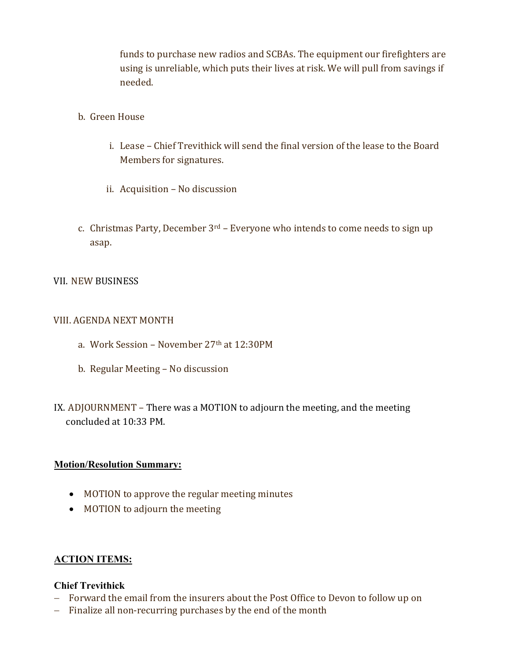funds to purchase new radios and SCBAs. The equipment our firefighters are using is unreliable, which puts their lives at risk. We will pull from savings if needed.

- b. Green House
	- i. Lease Chief Trevithick will send the final version of the lease to the Board Members for signatures.
	- ii. Acquisition No discussion
- c. Christmas Party, December  $3<sup>rd</sup>$  Everyone who intends to come needs to sign up asap.

#### VII. NEW BUSINESS

#### VIII. AGENDA NEXT MONTH

- a. Work Session November 27th at 12:30PM
- b. Regular Meeting No discussion
- IX. ADJOURNMENT There was a MOTION to adjourn the meeting, and the meeting concluded at 10:33 PM.

#### Motion/Resolution Summary:

- MOTION to approve the regular meeting minutes
- MOTION to adjourn the meeting

#### ACTION ITEMS:

#### Chief Trevithick

- Forward the email from the insurers about the Post Office to Devon to follow up on
- Finalize all non-recurring purchases by the end of the month